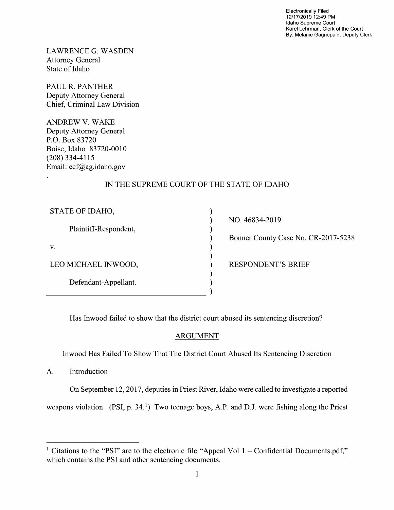Electronically Filed 12/17/2019 12:49 PM Idaho Supreme Court Karel Lehrman, Clerk of the Court By: Melanie Gagnepain, Deputy Clerk

LAWRENCE G.WASDEN Attorney General State 0f Idaho

PAUL R. PANTHER Deputy Attorney General Chief, Criminal Law Division

ANDREW V. WAKE Deputy Attorney General P.O. BOX 83720 Boise, Idaho 83720-00 (208) 334-41 15 Email: ecf@ag.idaho.gov

# IN THE SUPREME COURT OF THE STATE OF IDAHO

 $\mathcal{Y}$  $\mathcal{E}$  $\mathcal{E}$ 

| STATE OF IDAHO,       |
|-----------------------|
| Plaintiff-Respondent, |
| $V_{\rm A}$           |
| LEO MICHAEL INWOOD,   |
| Defendant-Appellant.  |
|                       |

NO. 46834-2019

Bonner County Case No. CR-2017-5238

) RESPONDENT'S BRIEF

Has Inwood failed to show that the district court abused its sentencing discretion?

## ARGUMENT

## Inwood Has Failed T0 Show That The District Court Abused Its Sentencing Discretion

A. Introduction

On September 12, 2017, deputies in Priest River, Idaho were called to investigate a reported

weapons violation.  $(PSI, p. 34<sup>1</sup>)$  Two teenage boys, A.P. and D.J. were fishing along the Priest

<sup>&</sup>lt;sup>1</sup> Citations to the "PSI" are to the electronic file "Appeal Vol  $1$  – Confidential Documents.pdf," which contains the PSI and other sentencing documents.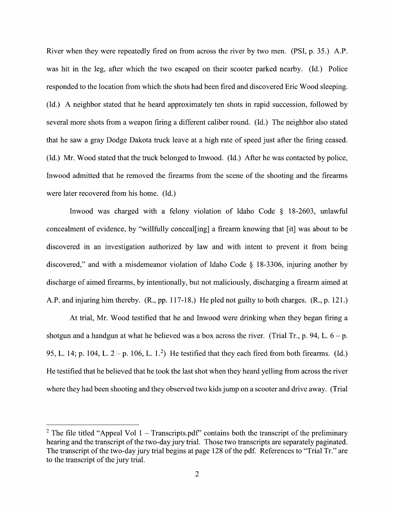River when they were repeatedly fired on from across the river by two men. (PSI, p. 35.) A.P. was hit in the leg, after which the two escaped 0n their scooter parked nearby. (Id.) Police responded to the location from which the shots had been fired and discovered Eric Wood sleeping. (Id.) A neighbor stated that he heard approximately ten shots in rapid succession, followed by several more shots from a weapon firing a different caliber round. (Id.) The neighbor also stated that he saw a gray Dodge Dakota truck leave at a high rate of speed just after the firing ceased. (Id.) Mr. Wood stated that the truck belonged to Inwood. (Id.) After he was contacted by police, Inwood admitted that he removed the firearms from the scene 0f the shooting and the firearms were later recovered from his home. (Id.)

Inwood was charged with a felony violation of Idaho Code  $\S$  18-2603, unlawful concealment of evidence, by "willfully conceal[ing] a firearm knowing that [it] was about to be discovered in an investigation authorized by law and with intent to prevent it from being discovered," and with a misdemeanor violation of Idaho Code § 18-3306, injuring another by discharge of aimed firearms, by intentionally, but not maliciously, discharging a firearm aimed at A.P. and injuring him thereby. (R., pp. 117-18.) He pled not guilty to both charges. (R., p. 121.)

At trial, Mr. Wood testified that he and Inwood were drinking when they began firing shotgun and a handgun at what he believed was a box across the river. (Trial Tr., p. 94, L.  $6 - p$ . 95, L. 14; p. 104, L.  $2 - p$ . 106, L. 1.<sup>2</sup>) He testified that they each fired from both firearms. (Id.) He testified that he believed that he took the last shot when they heard yelling from across the river where they had been shooting and they observed two kids jump on a scooter and drive away. (Trial

<sup>&</sup>lt;sup>2</sup> The file titled "Appeal Vol 1 – Transcripts.pdf" contains both the transcript of the preliminary hearing and the transcript of the two-day jury trial. Those two transcripts are separately paginated. The transcript of the two-day jury trial begins at page 128 of the pdf. References to "Trial Tr." are to the transcript of the jury trial.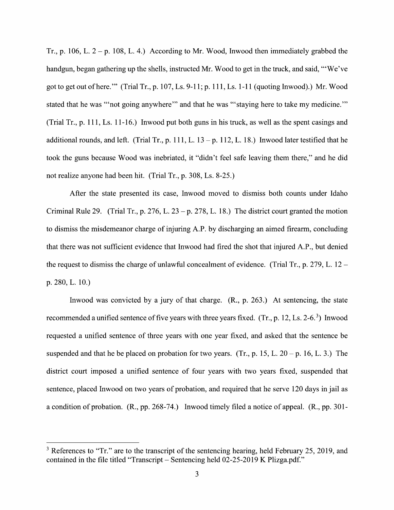Tr., p. 106, L.  $2 - p$ . 108, L. 4.) According to Mr. Wood, Inwood then immediately grabbed the handgun, began gathering up the shells, instructed Mr. Wood to get in the truck, and said, "'We've got to get out ofhere.'" (Trial Tr., p. 107, Ls. 9-1 1; p. 111, Ls. 1-11 (quoting Inwood).) Mr. Wood stated that he was "not going anywhere" and that he was "'staying here to take my medicine." (Trial Tr., p. 111, Ls. 11-16.) Inwood put both guns in his truck, as well as the spent casings and additional rounds, and left. (Trial Tr., p. 111, L.  $13 - p$ . 112, L. 18.) Inwood later testified that he took the guns because Wood was inebriated, it "didn't feel safe leaving them there," and he did not realize anyone had been hit. (Trial Tr., p. 308, Ls. 8-25.)

After the state presented its case, Inwood moved to dismiss both counts under Idaho Criminal Rule 29. (Trial Tr., p. 276, L. 23 - p. 278, L. 18.) The district court granted the motion to dismiss the misdemeanor charge of injuring A.P. by discharging an aimed firearm, concluding that there was not sufficient evidence that Inwood had fired the shot that injured A.P., but denied the request to dismiss the charge of unlawful concealment of evidence. (Trial Tr., p. 279, L. 12 – p. 280, L. 10.)

Inwood was convicted by a jury of that charge.  $(R., p. 263.)$  At sentencing, the state recommended a unified sentence of five years with three years fixed. (Tr., p. 12, Ls. 2-6.<sup>3</sup>) Inwood requested a unified sentence of three years with one year fixed, and asked that the sentence be suspended and that he be placed on probation for two years. (Tr., p. 15, L.  $20 - p$ . 16, L. 3.) The district court imposed a unified sentence of four years with two years fixed, suspended that sentence, placed Inwood on two years of probation, and required that he serve 120 days in jail as a condition of probation.  $(R., pp. 268-74.)$  Inwood timely filed a notice of appeal.  $(R., pp. 301-$ 

 $3$  References to "Tr." are to the transcript of the sentencing hearing, held February 25, 2019, and contained in the file titled "Transcript – Sentencing held  $02-25-2019$  K Plizga.pdf."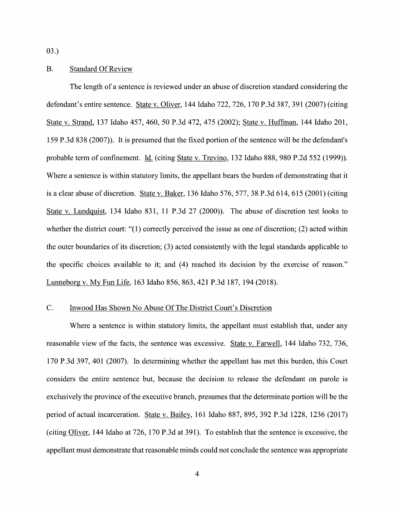03.)

### B. Standard Of Review

The length of a sentence is reviewed under an abuse of discretion standard considering the defendant's entire sentence. State V. Oliver, 144 Idaho 722, 726, 170 P.3d 387, 391 (2007) (citing State V. Strand, <sup>137</sup> Idaho 457, 460, <sup>50</sup> P.3d 472, <sup>475</sup> (2002); State V. Huffman, <sup>144</sup> Idaho 201, 159 P.3d 838 (2007)). It is presumed that the fixed portion 0f the sentence Will be the defendant's probable term of confinement. Id. (citing State v. Trevino, 132 Idaho 888, 980 P.2d 552 (1999)). Where a sentence is within statutory limits, the appellant bears the burden of demonstrating that it is a clear abuse of discretion. State v. Baker,  $136$  Idaho  $576$ ,  $577$ ,  $38$  P.3d  $614$ ,  $615$  ( $2001$ ) (citing State V. Lundquist, 134 Idaho 831, 11 P.3d 27 (2000)). The abuse 0f discretion test looks to whether the district court: "(1) correctly perceived the issue as one of discretion; (2) acted within the outer boundaries 0f its discretion; (3) acted consistently With the legal standards applicable to the specific choices available to it; and (4) reached its decision by the exercise 0f reason." Lunneborg V. MV Fun Life, <sup>163</sup> Idaho 856, 863, <sup>421</sup> P.3d 187, <sup>194</sup> (2018).

### C. Inwood Has Shown N0 Abuse Of The District Court's Discretion

Where a sentence is within statutory limits, the appellant must establish that, under any reasonable view of the facts, the sentence was excessive. State v. Farwell, 144 Idaho 732, 736, 170 P.3d 397, <sup>401</sup> (2007). In determining Whether the appellant has met this burden, this Court considers the entire sentence but, because the decision to release the defendant 0n parole is exclusively the province 0f the executive branch, presumes that the determinate portion will be the period of actual incarceration. State v. Bailey, 161 Idaho 887, 895, 392 P.3d 1228, 1236 (2017) (citing Oliver, 144 Idaho at 726, 170 P.3d at 391). To establish that the sentence is excessive, the appellant must demonstrate that reasonable minds could not conclude the sentence was appropriate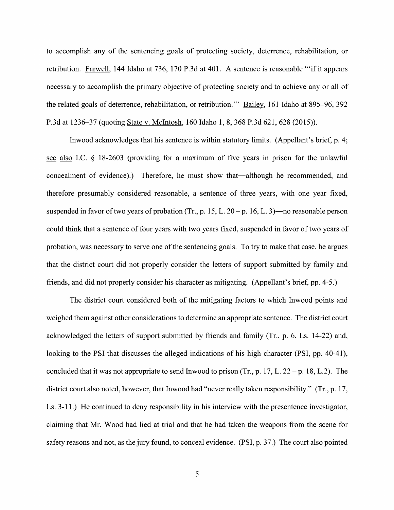to accomplish any of the sentencing goals of protecting society, deterrence, rehabilitation, or<br>retribution. <u>Farwell</u>, 144 Idaho at 736, 170 P.3d at 401. A sentence is reasonable "if it appears retribution. Farwell, 144 Idaho at 736, 170 P.3d at 401. A sentence is reasonable "if it appears necessary to accomplish the primary objective of protecting society and to achieve any or all of the related goals of deterrence, rehabilitation, or retribution." Bailey, 161 Idaho at 895-96, 392 P.3d at 1236—37 (quoting State V. McIntosh, 160 Idaho 1, 8, 368 P.3d 621, 628 (2015)).

Inwood acknowledges that his sentence is Within statutory limits. (Appellant's brief, p. 4; see also I.C.  $\S$  18-2603 (providing for a maximum of five years in prison for the unlawful concealment 0f evidence).) Therefore, he must show that—although he recommended, and therefore presumably considered reasonable, a sentence of three years, with one year fixed, suspended in favor of two years of probation (Tr., p. 15, L.  $20 - p$ . 16, L. 3)—no reasonable person could think that a sentence of four years with two years fixed, suspended in favor of two years of probation, was necessary to serve one of the sentencing goals. To try to make that case, he argues that the district court did not properly consider the letters of support submitted by family and friends, and did not properly consider his character as mitigating. (Appellant's brief, pp. 4-5.)

The district court considered both of the mitigating factors to which Inwood points and weighed them against other considerations to determine an appropriate sentence. The district court acknowledged the letters of support submitted by friends and family (Tr., p. 6, Ls. 14-22) and, looking to the PSI that discusses the alleged indications of his high character (PSI, pp. 40-41), concluded that it was not appropriate to send Inwood to prison (Tr., p. 17, L. 22 – p. 18, L.2). The district court also noted, however, that Inwood had "never really taken responsibility." (Tr., p. 17, Ls. 3-11.) He continued to deny responsibility in his interview with the presentence investigator, claiming that Mr. Wood had lied at trial and that he had taken the weapons from the scene for safety reasons and not, as the jury found, to conceal evidence. (PSI, p. 37.) The court also pointed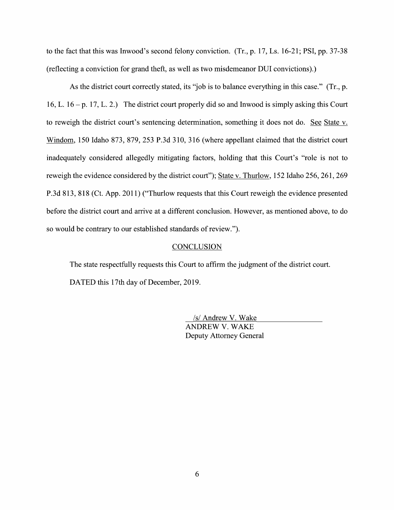to the fact that this was Inwood's second felony conviction.  $(Tr, p. 17, Ls. 16-21; PSI, pp. 37-38)$ (reflecting a conviction for grand theft, as well as two misdemeanor DUI convictions).)

As the district court correctly stated, its "job is to balance everything in this case." (Tr., p. 16, L.  $16 - p$ . 17, L. 2.) The district court properly did so and Inwood is simply asking this Court to reweigh the district court's sentencing determination, something it does not do. See State v. Windom, 150 Idaho 873, 879, 253 P.3d 310, 316 (where appellant claimed that the district court inadequately considered allegedly mitigating factors, holding that this Court's "role is not to reweigh the evidence considered by the district court"); State v. Thurlow, 152 Idaho 256, 261, 269 P.3d 813, 818 (Ct. App. 2011) ("Thurlow requests that this Court reweigh the evidence presented before the district court and arrive at a different conclusion. However, as mentioned above, to do so would be contrary to our established standards of review.").

#### **CONCLUSION**

The state respectfully requests this Court to affirm the judgment of the district court. DATED this 17th day of December, 2019.

> <u>/s/ Andrew V. Wake</u><br>ANDREW V. WAKE Deputy Attorney General